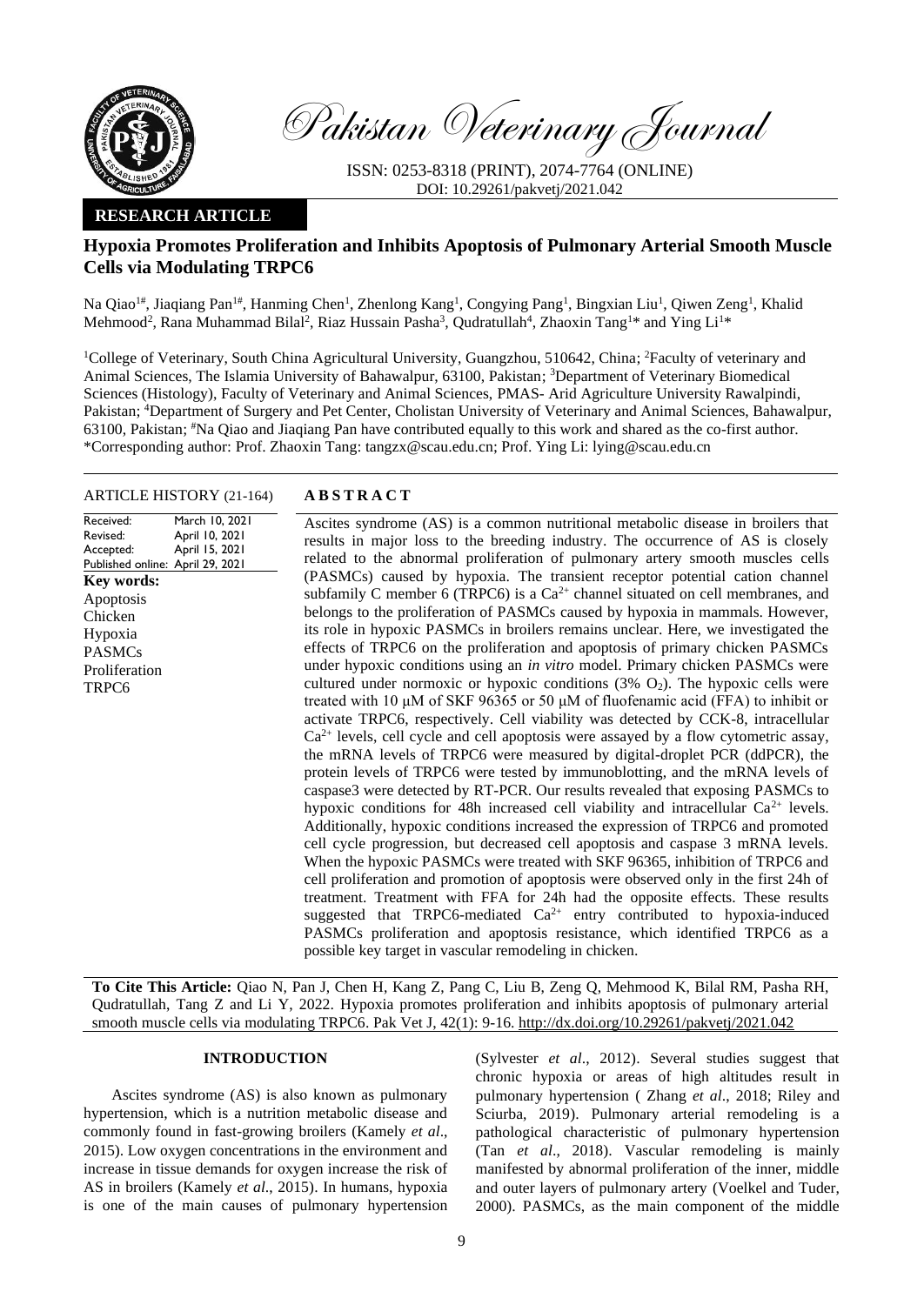

Pakistan Veterinary Journal

ISSN: 0253-8318 (PRINT), 2074-7764 (ONLINE) DOI: 10.29261/pakvetj/2021.042

## **RESEARCH ARTICLE**

# **Hypoxia Promotes Proliferation and Inhibits Apoptosis of Pulmonary Arterial Smooth Muscle Cells via Modulating TRPC6**

Na Qiao<sup>1#</sup>, Jiaqiang Pan<sup>1#</sup>, Hanming Chen<sup>1</sup>, Zhenlong Kang<sup>1</sup>, Congying Pang<sup>1</sup>, Bingxian Liu<sup>1</sup>, Qiwen Zeng<sup>1</sup>, Khalid Mehmood<sup>2</sup>, Rana Muhammad Bilal<sup>2</sup>, Riaz Hussain Pasha<sup>3</sup>, Qudratullah<sup>4</sup>, Zhaoxin Tang<sup>1\*</sup> and Ying Li<sup>1\*</sup>

<sup>1</sup>College of Veterinary, South China Agricultural University, Guangzhou, 510642, China; <sup>2</sup>Faculty of veterinary and Animal Sciences, The Islamia University of Bahawalpur, 63100, Pakistan; <sup>3</sup>Department of Veterinary Biomedical Sciences (Histology), Faculty of Veterinary and Animal Sciences, PMAS- Arid Agriculture University Rawalpindi, Pakistan; <sup>4</sup>Department of Surgery and Pet Center, Cholistan University of Veterinary and Animal Sciences, Bahawalpur, 63100, Pakistan; #Na Qiao and Jiaqiang Pan have contributed equally to this work and shared as the co-first author. \*Corresponding author: Prof. Zhaoxin Tang: tangzx@scau.edu.cn; Prof. Ying Li: lying@scau.edu.cn

## ARTICLE HISTORY (21-164) **A B S T R A C T**

Received: Revised: Accepted: Published online: April 29, 2021 March 10, 2021 April 10, 2021 April 15, 2021 **Key words:**  Apoptosis Chicken Hypoxia PASMCs Proliferation TRPC6

Ascites syndrome (AS) is a common nutritional metabolic disease in broilers that results in major loss to the breeding industry. The occurrence of AS is closely related to the abnormal proliferation of pulmonary artery smooth muscles cells (PASMCs) caused by hypoxia. The transient receptor potential cation channel subfamily C member 6 (TRPC6) is a  $Ca^{2+}$  channel situated on cell membranes, and belongs to the proliferation of PASMCs caused by hypoxia in mammals. However, its role in hypoxic PASMCs in broilers remains unclear. Here, we investigated the effects of TRPC6 on the proliferation and apoptosis of primary chicken PASMCs under hypoxic conditions using an *in vitro* model. Primary chicken PASMCs were cultured under normoxic or hypoxic conditions  $(3\% \text{ O}_2)$ . The hypoxic cells were treated with 10 μM of SKF 96365 or 50 μM of fluofenamic acid (FFA) to inhibit or activate TRPC6, respectively. Cell viability was detected by CCK-8, intracellular  $Ca<sup>2+</sup>$  levels, cell cycle and cell apoptosis were assayed by a flow cytometric assay, the mRNA levels of TRPC6 were measured by digital-droplet PCR (ddPCR), the protein levels of TRPC6 were tested by immunoblotting, and the mRNA levels of caspase3 were detected by RT-PCR. Our results revealed that exposing PASMCs to hypoxic conditions for 48h increased cell viability and intracellular  $Ca^{2+}$  levels. Additionally, hypoxic conditions increased the expression of TRPC6 and promoted cell cycle progression, but decreased cell apoptosis and caspase 3 mRNA levels. When the hypoxic PASMCs were treated with SKF 96365, inhibition of TRPC6 and cell proliferation and promotion of apoptosis were observed only in the first 24h of treatment. Treatment with FFA for 24h had the opposite effects. These results suggested that TRPC6-mediated  $Ca^{2+}$  entry contributed to hypoxia-induced PASMCs proliferation and apoptosis resistance, which identified TRPC6 as a possible key target in vascular remodeling in chicken.

**To Cite This Article:** Qiao N, Pan J, Chen H, Kang Z, Pang C, Liu B, Zeng Q, Mehmood K, Bilal RM, Pasha RH, Qudratullah, Tang Z and Li Y, 2022. Hypoxia promotes proliferation and inhibits apoptosis of pulmonary arterial smooth muscle cells via modulating TRPC6. Pak Vet J, 42(1): 9-16. [http://dx.doi.org/10.29261/pakvetj/2021.042](http://pvj.com.pk/pdf-files/42_1/9-16.pdf)

## **INTRODUCTION**

Ascites syndrome (AS) is also known as pulmonary hypertension, which is a nutrition metabolic disease and commonly found in fast-growing broilers (Kamely *et al*., 2015). Low oxygen concentrations in the environment and increase in tissue demands for oxygen increase the risk of AS in broilers (Kamely *et al*., 2015). In humans, hypoxia is one of the main causes of pulmonary hypertension

(Sylvester *et al*., 2012). Several studies suggest that chronic hypoxia or areas of high altitudes result in pulmonary hypertension ( Zhang *et al*., 2018; Riley and Sciurba, 2019). Pulmonary arterial remodeling is a pathological characteristic of pulmonary hypertension (Tan *et al*., 2018). Vascular remodeling is mainly manifested by abnormal proliferation of the inner, middle and outer layers of pulmonary artery (Voelkel and Tuder, 2000). PASMCs, as the main component of the middle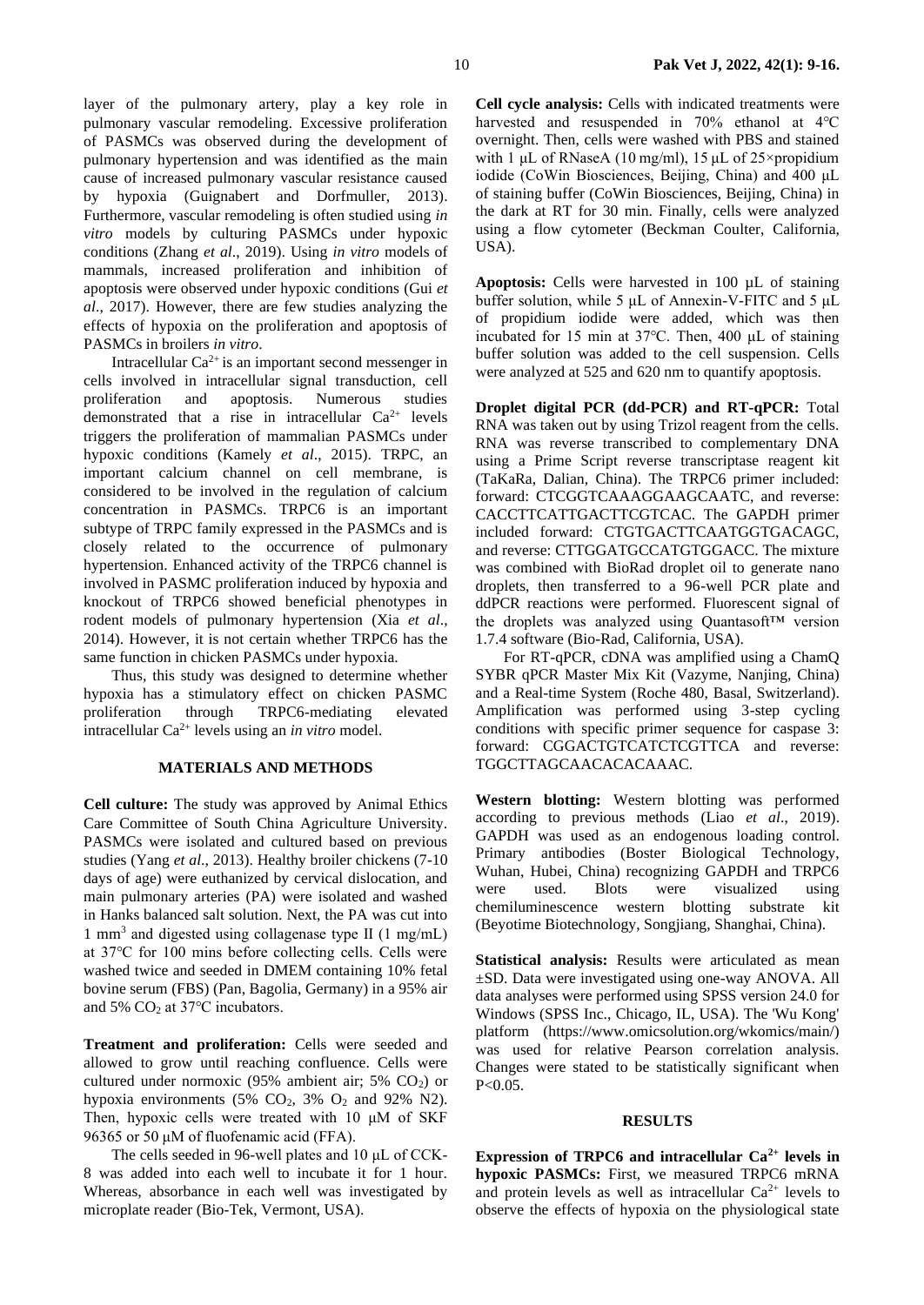layer of the pulmonary artery, play a key role in pulmonary vascular remodeling. Excessive proliferation of PASMCs was observed during the development of pulmonary hypertension and was identified as the main cause of increased pulmonary vascular resistance caused by hypoxia (Guignabert and Dorfmuller, 2013). Furthermore, vascular remodeling is often studied using *in vitro* models by culturing PASMCs under hypoxic conditions (Zhang *et al*., 2019). Using *in vitro* models of mammals, increased proliferation and inhibition of apoptosis were observed under hypoxic conditions (Gui *et al*., 2017). However, there are few studies analyzing the effects of hypoxia on the proliferation and apoptosis of PASMCs in broilers *in vitro*.

Intracellular  $Ca^{2+}$  is an important second messenger in cells involved in intracellular signal transduction, cell proliferation and apoptosis. Numerous studies demonstrated that a rise in intracellular  $Ca^{2+}$  levels triggers the proliferation of mammalian PASMCs under hypoxic conditions (Kamely *et al*., 2015). TRPC, an important calcium channel on cell membrane, is considered to be involved in the regulation of calcium concentration in PASMCs. TRPC6 is an important subtype of TRPC family expressed in the PASMCs and is closely related to the occurrence of pulmonary hypertension. Enhanced activity of the TRPC6 channel is involved in PASMC proliferation induced by hypoxia and knockout of TRPC6 showed beneficial phenotypes in rodent models of pulmonary hypertension (Xia *et al*., 2014). However, it is not certain whether TRPC6 has the same function in chicken PASMCs under hypoxia.

Thus, this study was designed to determine whether hypoxia has a stimulatory effect on chicken PASMC proliferation through TRPC6-mediating elevated intracellular Ca2+ levels using an *in vitro* model.

### **MATERIALS AND METHODS**

**Cell culture:** The study was approved by Animal Ethics Care Committee of South China Agriculture University. PASMCs were isolated and cultured based on previous studies (Yang *et al*., 2013). Healthy broiler chickens (7-10 days of age) were euthanized by cervical dislocation, and main pulmonary arteries (PA) were isolated and washed in Hanks balanced salt solution. Next, the PA was cut into 1 mm<sup>3</sup> and digested using collagenase type Ⅱ (1 mg/mL) at 37℃ for 100 mins before collecting cells. Cells were washed twice and seeded in DMEM containing 10% fetal bovine serum (FBS) (Pan, Bagolia, Germany) in a 95% air and 5% CO<sub>2</sub> at 37°C incubators.

**Treatment and proliferation:** Cells were seeded and allowed to grow until reaching confluence. Cells were cultured under normoxic  $(95\%$  ambient air; 5% CO<sub>2</sub>) or hypoxia environments (5%  $CO<sub>2</sub>$ , 3%  $O<sub>2</sub>$  and 92% N2). Then, hypoxic cells were treated with 10 μM of SKF 96365 or 50 μM of fluofenamic acid (FFA).

The cells seeded in 96-well plates and 10 μL of CCK-8 was added into each well to incubate it for 1 hour. Whereas, absorbance in each well was investigated by microplate reader (Bio-Tek, Vermont, USA).

**Cell cycle analysis:** Cells with indicated treatments were harvested and resuspended in 70% ethanol at 4℃ overnight. Then, cells were washed with PBS and stained with 1 μL of RNaseA (10 mg/ml), 15 μL of 25×propidium iodide (CoWin Biosciences, Beijing, China) and 400 μL of staining buffer (CoWin Biosciences, Beijing, China) in the dark at RT for 30 min. Finally, cells were analyzed using a flow cytometer (Beckman Coulter, California, USA).

**Apoptosis:** Cells were harvested in 100 µL of staining buffer solution, while 5 μL of Annexin-V-FITC and 5 μL of propidium iodide were added, which was then incubated for 15 min at 37℃. Then, 400 μL of staining buffer solution was added to the cell suspension. Cells were analyzed at 525 and 620 nm to quantify apoptosis.

**Droplet digital PCR (dd-PCR) and RT-qPCR:** Total RNA was taken out by using Trizol reagent from the cells. RNA was reverse transcribed to complementary DNA using a Prime Script reverse transcriptase reagent kit (TaKaRa, Dalian, China). The TRPC6 primer included: forward: CTCGGTCAAAGGAAGCAATC, and reverse: CACCTTCATTGACTTCGTCAC. The GAPDH primer included forward: CTGTGACTTCAATGGTGACAGC, and reverse: CTTGGATGCCATGTGGACC. The mixture was combined with BioRad droplet oil to generate nano droplets, then transferred to a 96-well PCR plate and ddPCR reactions were performed. Fluorescent signal of the droplets was analyzed using Quantasoft™ version 1.7.4 software (Bio-Rad, California, USA).

For RT-qPCR, cDNA was amplified using a ChamQ SYBR qPCR Master Mix Kit (Vazyme, Nanjing, China) and a Real-time System (Roche 480, Basal, Switzerland). Amplification was performed using 3-step cycling conditions with specific primer sequence for caspase 3: forward: CGGACTGTCATCTCGTTCA and reverse: TGGCTTAGCAACACACAAAC.

**Western blotting:** Western blotting was performed according to previous methods (Liao *et al*., 2019). GAPDH was used as an endogenous loading control. Primary antibodies (Boster Biological Technology, Wuhan, Hubei, China) recognizing GAPDH and TRPC6 were used. Blots were visualized using chemiluminescence western blotting substrate kit (Beyotime Biotechnology, Songjiang, Shanghai, China).

**Statistical analysis:** Results were articulated as mean ±SD. Data were investigated using one-way ANOVA. All data analyses were performed using SPSS version 24.0 for Windows (SPSS Inc., Chicago, IL, USA). The 'Wu Kong' platform (https://www.omicsolution.org/wkomics/main/) was used for relative Pearson correlation analysis. Changes were stated to be statistically significant when P<0.05.

#### **RESULTS**

**Expression of TRPC6 and intracellular Ca2+ levels in hypoxic PASMCs:** First, we measured TRPC6 mRNA and protein levels as well as intracellular  $Ca^{2+}$  levels to observe the effects of hypoxia on the physiological state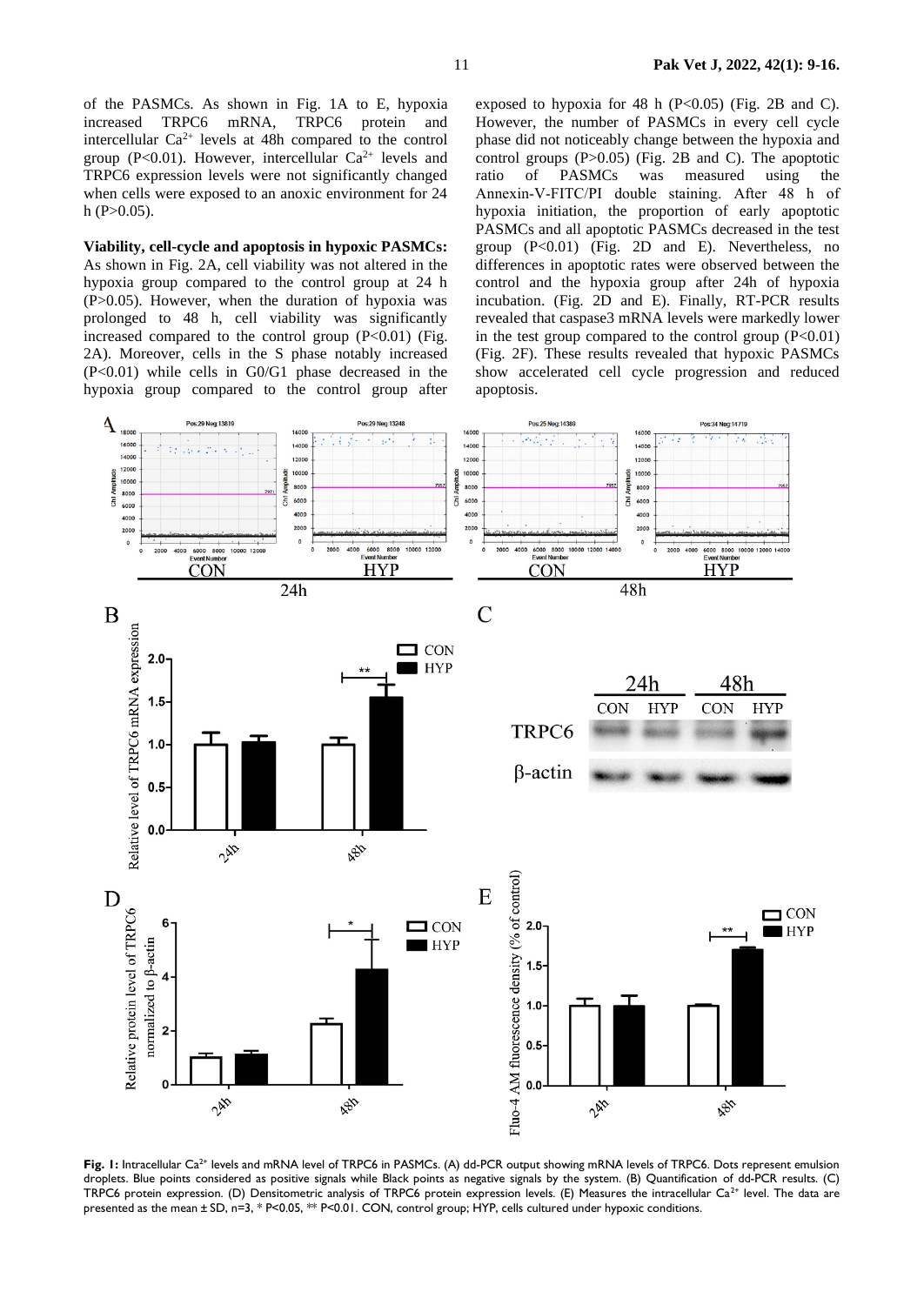of the PASMCs. As shown in Fig. 1A to E, hypoxia increased TRPC6 mRNA, TRPC6 protein and intercellular  $Ca^{2+}$  levels at 48h compared to the control group (P<0.01). However, intercellular  $Ca^{2+}$  levels and TRPC6 expression levels were not significantly changed when cells were exposed to an anoxic environment for 24  $h$  (P $>0.05$ ).

**Viability, cell-cycle and apoptosis in hypoxic PASMCs:**  As shown in Fig. 2A, cell viability was not altered in the hypoxia group compared to the control group at 24 h  $(P>0.05)$ . However, when the duration of hypoxia was prolonged to 48 h, cell viability was significantly increased compared to the control group  $(P<0.01)$  (Fig. 2A). Moreover, cells in the S phase notably increased  $(P<0.01)$  while cells in G0/G1 phase decreased in the hypoxia group compared to the control group after

exposed to hypoxia for 48 h  $(P<0.05)$  (Fig. 2B and C). However, the number of PASMCs in every cell cycle phase did not noticeably change between the hypoxia and control groups (P>0.05) (Fig. 2B and C). The apoptotic ratio of PASMCs was measured using the Annexin‐V‐FITC/PI double staining. After 48 h of hypoxia initiation, the proportion of early apoptotic PASMCs and all apoptotic PASMCs decreased in the test group  $(P<0.01)$  (Fig. 2D and E). Nevertheless, no differences in apoptotic rates were observed between the control and the hypoxia group after 24h of hypoxia incubation. (Fig. 2D and E). Finally, RT-PCR results revealed that caspase3 mRNA levels were markedly lower in the test group compared to the control group  $(P<0.01)$ (Fig. 2F). These results revealed that hypoxic PASMCs show accelerated cell cycle progression and reduced apoptosis.



Fig. 1: Intracellular Ca<sup>2+</sup> levels and mRNA level of TRPC6 in PASMCs. (A) dd-PCR output showing mRNA levels of TRPC6. Dots represent emulsion droplets. Blue points considered as positive signals while Black points as negative signals by the system. (B) Quantification of dd-PCR results. (C) TRPC6 protein expression. (D) Densitometric analysis of TRPC6 protein expression levels. (E) Measures the intracellular Ca2+ level. The data are presented as the mean ± SD, n=3, \* P<0.05, \*\* P<0.01. CON, control group; HYP, cells cultured under hypoxic conditions.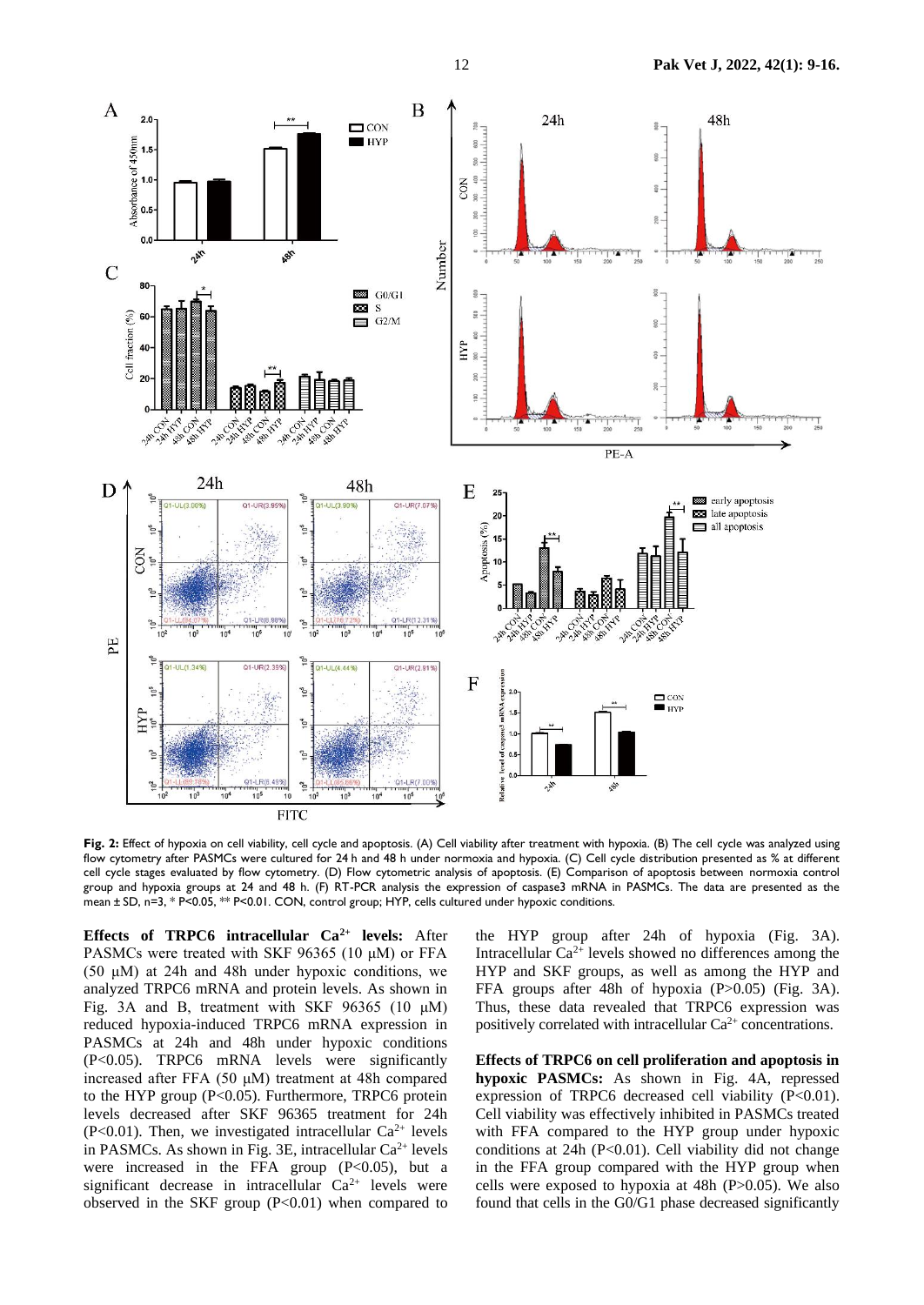

**Fig. 2:** Effect of hypoxia on cell viability, cell cycle and apoptosis. (A) Cell viability after treatment with hypoxia. (B) The cell cycle was analyzed using flow cytometry after PASMCs were cultured for 24 h and 48 h under normoxia and hypoxia. (C) Cell cycle distribution presented as % at different cell cycle stages evaluated by flow cytometry. (D) Flow cytometric analysis of apoptosis. (E) Comparison of apoptosis between normoxia control group and hypoxia groups at 24 and 48 h. (F) RT-PCR analysis the expression of caspase3 mRNA in PASMCs. The data are presented as the mean ± SD, n=3, \* P<0.05, \*\* P<0.01. CON, control group; HYP, cells cultured under hypoxic conditions.

**Effects of TRPC6 intracellular Ca2+ levels:** After PASMCs were treated with SKF 96365 (10 μM) or FFA (50 μM) at 24h and 48h under hypoxic conditions, we analyzed TRPC6 mRNA and protein levels. As shown in Fig. 3A and B, treatment with SKF 96365 (10 μM) reduced hypoxia-induced TRPC6 mRNA expression in PASMCs at 24h and 48h under hypoxic conditions (P<0.05). TRPC6 mRNA levels were significantly increased after FFA (50 μM) treatment at 48h compared to the HYP group (P<0.05). Furthermore, TRPC6 protein levels decreased after SKF 96365 treatment for 24h (P<0.01). Then, we investigated intracellular  $Ca^{2+}$  levels in PASMCs. As shown in Fig. 3E, intracellular  $Ca^{2+}$  levels were increased in the FFA group  $(P<0.05)$ , but a significant decrease in intracellular  $Ca^{2+}$  levels were observed in the SKF group  $(P<0.01)$  when compared to

the HYP group after 24h of hypoxia (Fig. 3A). Intracellular  $Ca^{2+}$  levels showed no differences among the HYP and SKF groups, as well as among the HYP and FFA groups after 48h of hypoxia (P>0.05) (Fig. 3A). Thus, these data revealed that TRPC6 expression was positively correlated with intracellular  $Ca^{2+}$  concentrations.

**Effects of TRPC6 on cell proliferation and apoptosis in hypoxic PASMCs:** As shown in Fig. 4A, repressed expression of TRPC6 decreased cell viability (P<0.01). Cell viability was effectively inhibited in PASMCs treated with FFA compared to the HYP group under hypoxic conditions at  $24h$  (P<0.01). Cell viability did not change in the FFA group compared with the HYP group when cells were exposed to hypoxia at 48h (P>0.05). We also found that cells in the G0/G1 phase decreased significantly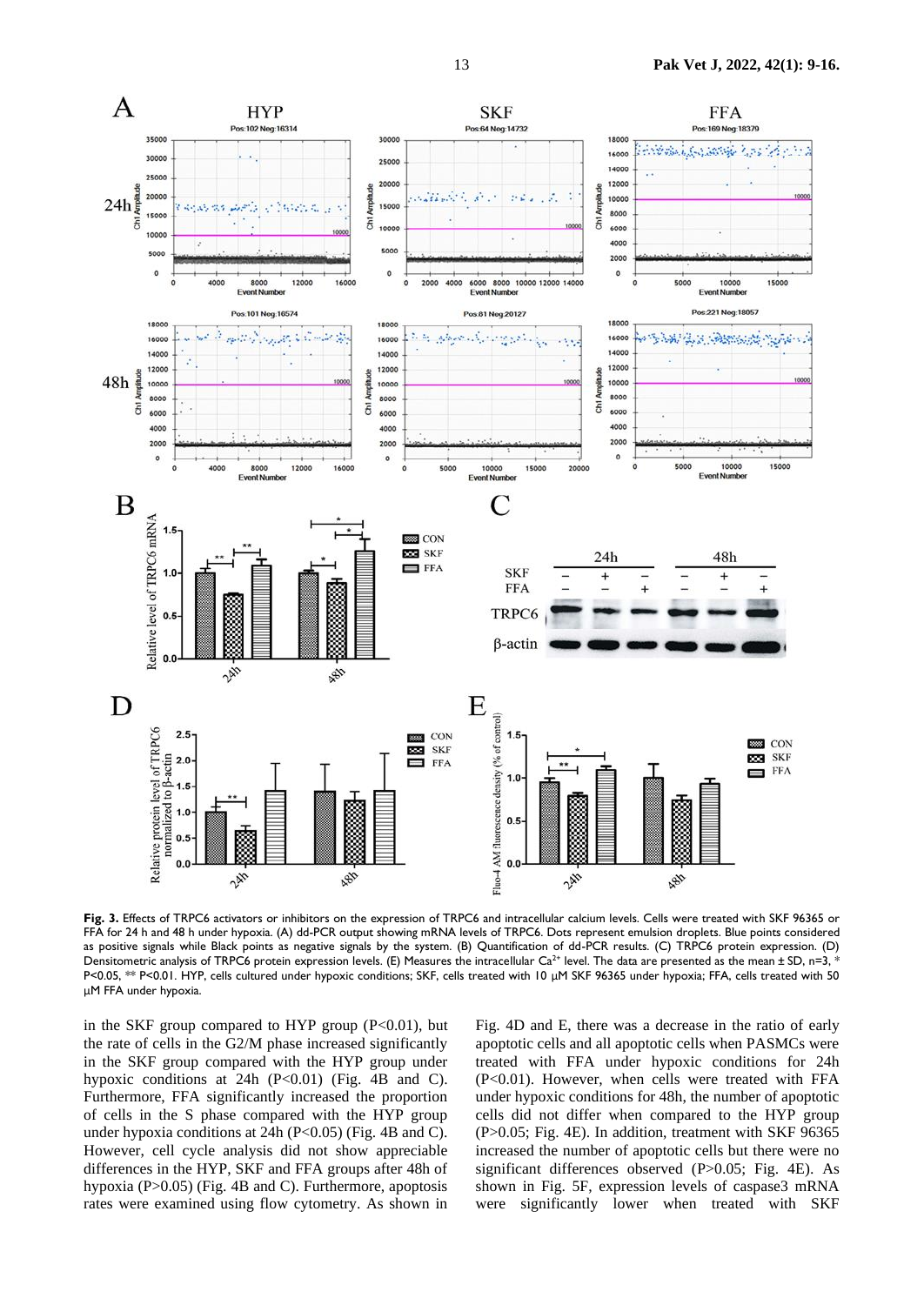

**Fig. 3.** Effects of TRPC6 activators or inhibitors on the expression of TRPC6 and intracellular calcium levels. Cells were treated with SKF 96365 or FFA for 24 h and 48 h under hypoxia. (A) dd-PCR output showing mRNA levels of TRPC6. Dots represent emulsion droplets. Blue points considered as positive signals while Black points as negative signals by the system. (B) Quantification of dd-PCR results. (C) TRPC6 protein expression. (D) Densitometric analysis of TRPC6 protein expression levels. (E) Measures the intracellular Ca<sup>2+</sup> level. The data are presented as the mean  $\pm$  SD, n=3, \* P<0.05, \*\* P<0.01. HYP, cells cultured under hypoxic conditions; SKF, cells treated with 10 μM SKF 96365 under hypoxia; FFA, cells treated with 50 μM FFA under hypoxia.

in the SKF group compared to HYP group  $(P<0.01)$ , but the rate of cells in the G2/M phase increased significantly in the SKF group compared with the HYP group under hypoxic conditions at 24h  $(P<0.01)$  (Fig. 4B and C). Furthermore, FFA significantly increased the proportion of cells in the S phase compared with the HYP group under hypoxia conditions at 24h (P<0.05) (Fig. 4B and C). However, cell cycle analysis did not show appreciable differences in the HYP, SKF and FFA groups after 48h of hypoxia (P>0.05) (Fig. 4B and C). Furthermore, apoptosis rates were examined using flow cytometry. As shown in

Fig. 4D and E, there was a decrease in the ratio of early apoptotic cells and all apoptotic cells when PASMCs were treated with FFA under hypoxic conditions for 24h (P<0.01). However, when cells were treated with FFA under hypoxic conditions for 48h, the number of apoptotic cells did not differ when compared to the HYP group (P>0.05; Fig. 4E). In addition, treatment with SKF 96365 increased the number of apoptotic cells but there were no significant differences observed (P>0.05; Fig. 4E). As shown in Fig. 5F, expression levels of caspase3 mRNA were significantly lower when treated with SKF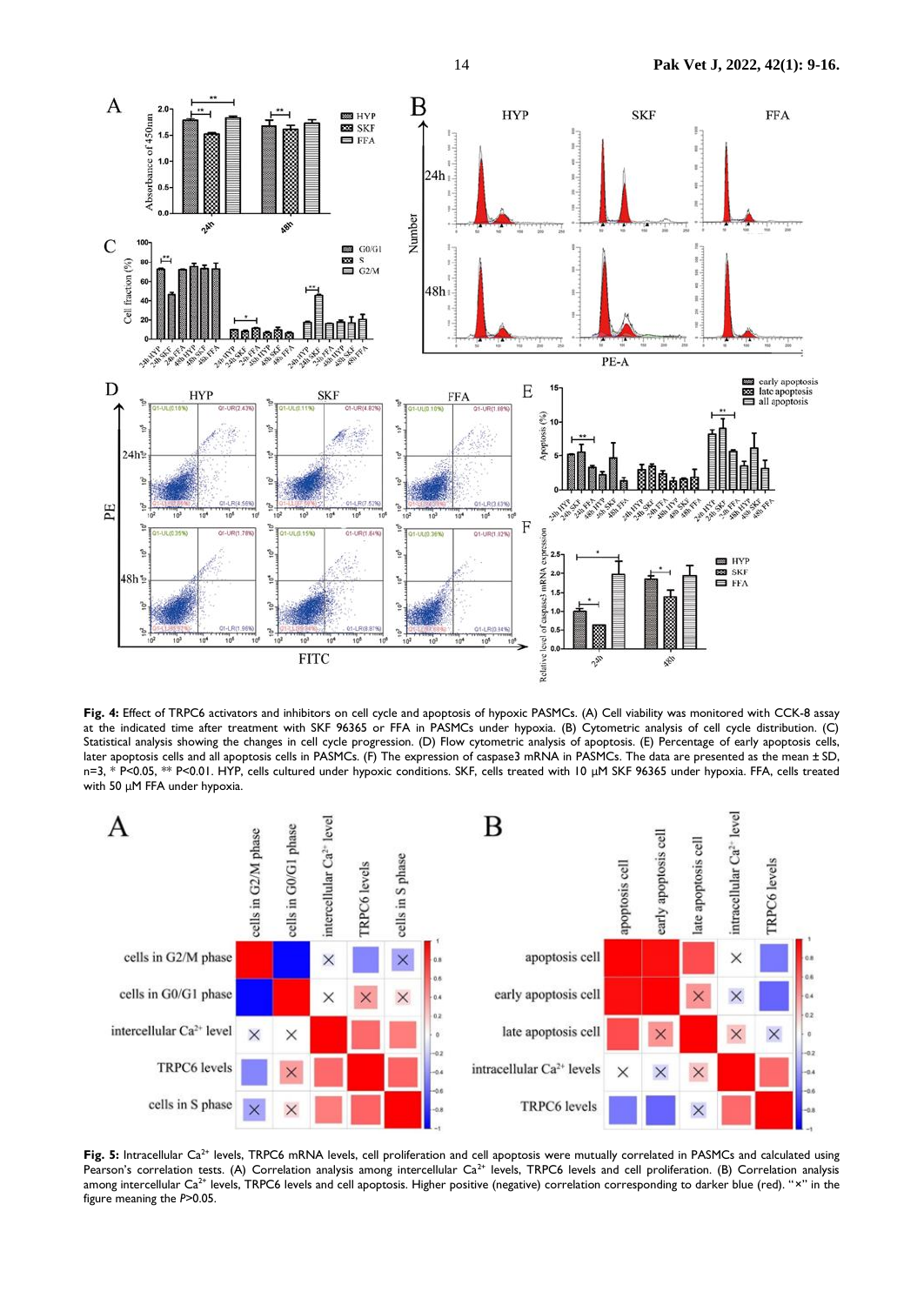

**Fig. 4:** Effect of TRPC6 activators and inhibitors on cell cycle and apoptosis of hypoxic PASMCs. (A) Cell viability was monitored with CCK-8 assay at the indicated time after treatment with SKF 96365 or FFA in PASMCs under hypoxia. (B) Cytometric analysis of cell cycle distribution. (C) Statistical analysis showing the changes in cell cycle progression. (D) Flow cytometric analysis of apoptosis. (E) Percentage of early apoptosis cells, later apoptosis cells and all apoptosis cells in PASMCs. (F) The expression of caspase3 mRNA in PASMCs. The data are presented as the mean ± SD, n=3, \* P<0.05, \*\* P<0.01. HYP, cells cultured under hypoxic conditions. SKF, cells treated with 10 μM SKF 96365 under hypoxia. FFA, cells treated with 50 μM FFA under hypoxia.



Fig. 5: Intracellular Ca<sup>2+</sup> levels, TRPC6 mRNA levels, cell proliferation and cell apoptosis were mutually correlated in PASMCs and calculated using Pearson's correlation tests. (A) Correlation analysis among intercellular  $Ca^{2+}$  levels, TRPC6 levels and cell proliferation. (B) Correlation analysis among intercellular Ca<sup>2+</sup> levels, TRPC6 levels and cell apoptosis. Higher positive (negative) correlation corresponding to darker blue (red). "x" in the figure meaning the *P*>0.05.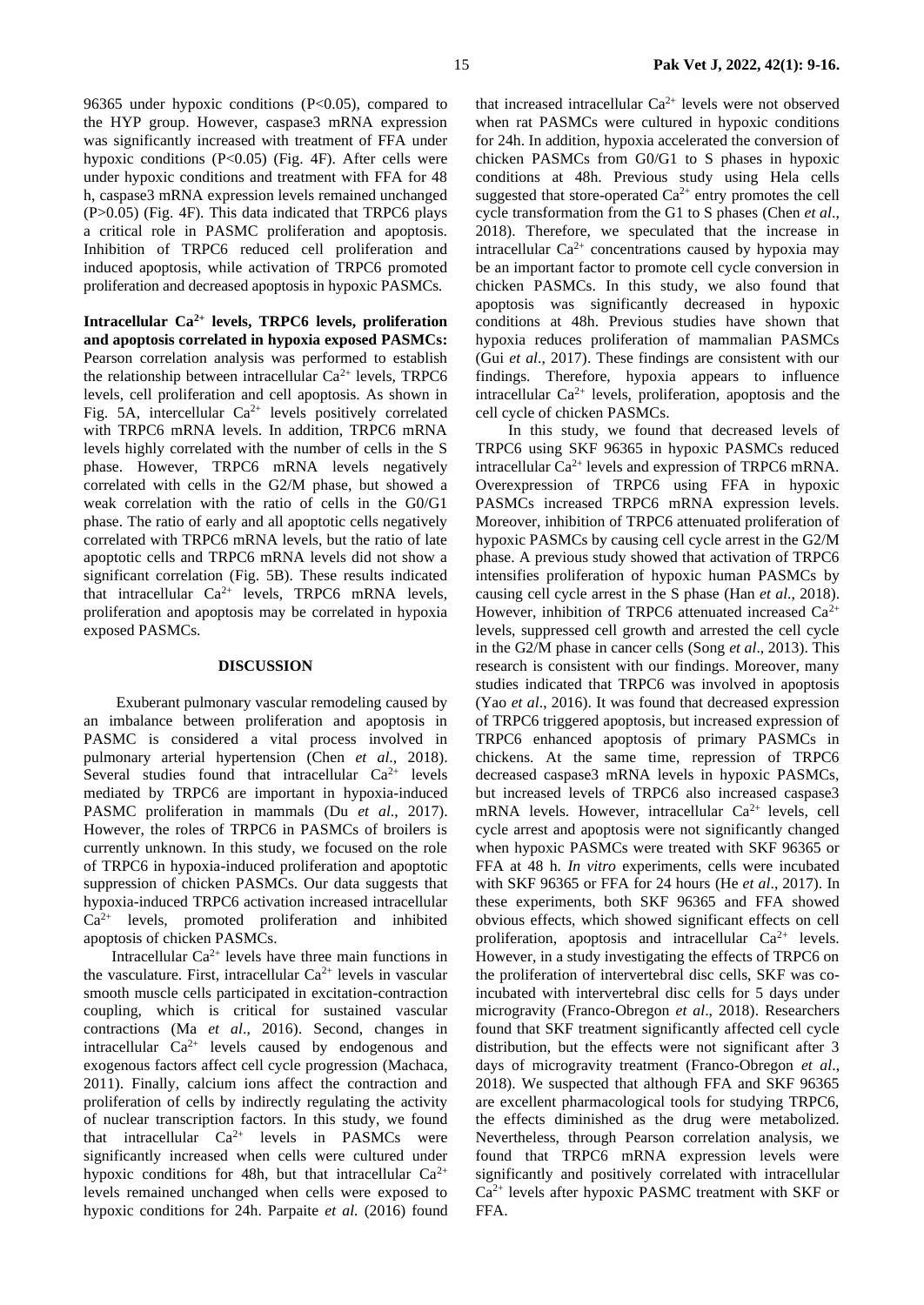96365 under hypoxic conditions (P<0.05), compared to the HYP group. However, caspase3 mRNA expression was significantly increased with treatment of FFA under hypoxic conditions (P<0.05) (Fig. 4F). After cells were under hypoxic conditions and treatment with FFA for 48 h, caspase3 mRNA expression levels remained unchanged  $(P>0.05)$  (Fig. 4F). This data indicated that TRPC6 plays a critical role in PASMC proliferation and apoptosis. Inhibition of TRPC6 reduced cell proliferation and induced apoptosis, while activation of TRPC6 promoted proliferation and decreased apoptosis in hypoxic PASMCs.

**Intracellular Ca2+ levels, TRPC6 levels, proliferation and apoptosis correlated in hypoxia exposed PASMCs:**  Pearson correlation analysis was performed to establish the relationship between intracellular  $Ca^{2+}$  levels, TRPC6 levels, cell proliferation and cell apoptosis. As shown in Fig. 5A, intercellular  $Ca^{2+}$  levels positively correlated with TRPC6 mRNA levels. In addition, TRPC6 mRNA levels highly correlated with the number of cells in the S phase. However, TRPC6 mRNA levels negatively correlated with cells in the G2/M phase, but showed a weak correlation with the ratio of cells in the G0/G1 phase. The ratio of early and all apoptotic cells negatively correlated with TRPC6 mRNA levels, but the ratio of late apoptotic cells and TRPC6 mRNA levels did not show a significant correlation (Fig. 5B). These results indicated that intracellular  $Ca^{2+}$  levels, TRPC6 mRNA levels, proliferation and apoptosis may be correlated in hypoxia exposed PASMCs.

#### **DISCUSSION**

Exuberant pulmonary vascular remodeling caused by an imbalance between proliferation and apoptosis in PASMC is considered a vital process involved in pulmonary arterial hypertension (Chen *et al*., 2018). Several studies found that intracellular  $Ca^{2+}$  levels mediated by TRPC6 are important in hypoxia-induced PASMC proliferation in mammals (Du *et al*., 2017). However, the roles of TRPC6 in PASMCs of broilers is currently unknown. In this study, we focused on the role of TRPC6 in hypoxia-induced proliferation and apoptotic suppression of chicken PASMCs. Our data suggests that hypoxia-induced TRPC6 activation increased intracellular Ca2+ levels, promoted proliferation and inhibited apoptosis of chicken PASMCs.

Intracellular  $Ca^{2+}$  levels have three main functions in the vasculature. First, intracellular  $Ca^{2+}$  levels in vascular smooth muscle cells participated in excitation-contraction coupling, which is critical for sustained vascular contractions (Ma *et al*., 2016). Second, changes in intracellular  $Ca^{2+}$  levels caused by endogenous and exogenous factors affect cell cycle progression (Machaca, 2011). Finally, calcium ions affect the contraction and proliferation of cells by indirectly regulating the activity of nuclear transcription factors. In this study, we found that intracellular  $Ca^{2+}$  levels in PASMCs were significantly increased when cells were cultured under hypoxic conditions for 48h, but that intracellular  $Ca^{2+}$ levels remained unchanged when cells were exposed to hypoxic conditions for 24h. Parpaite et al. (2016) found

that increased intracellular  $Ca^{2+}$  levels were not observed when rat PASMCs were cultured in hypoxic conditions for 24h. In addition, hypoxia accelerated the conversion of chicken PASMCs from G0/G1 to S phases in hypoxic conditions at 48h. Previous study using Hela cells suggested that store-operated  $Ca^{2+}$  entry promotes the cell cycle transformation from the G1 to S phases (Chen *et al*., 2018). Therefore, we speculated that the increase in intracellular  $Ca^{2+}$  concentrations caused by hypoxia may be an important factor to promote cell cycle conversion in chicken PASMCs. In this study, we also found that apoptosis was significantly decreased in hypoxic conditions at 48h. Previous studies have shown that hypoxia reduces proliferation of mammalian PASMCs (Gui *et al*., 2017). These findings are consistent with our findings. Therefore, hypoxia appears to influence intracellular  $Ca^{2+}$  levels, proliferation, apoptosis and the cell cycle of chicken PASMCs.

In this study, we found that decreased levels of TRPC6 using SKF 96365 in hypoxic PASMCs reduced intracellular  $Ca^{2+}$  levels and expression of TRPC6 mRNA. Overexpression of TRPC6 using FFA in hypoxic PASMCs increased TRPC6 mRNA expression levels. Moreover, inhibition of TRPC6 attenuated proliferation of hypoxic PASMCs by causing cell cycle arrest in the G2/M phase. A previous study showed that activation of TRPC6 intensifies proliferation of hypoxic human PASMCs by causing cell cycle arrest in the S phase (Han *et al*., 2018). However, inhibition of TRPC6 attenuated increased  $Ca^{2+}$ levels, suppressed cell growth and arrested the cell cycle in the G2/M phase in cancer cells (Song *et al*., 2013). This research is consistent with our findings. Moreover, many studies indicated that TRPC6 was involved in apoptosis (Yao *et al*., 2016). It was found that decreased expression of TRPC6 triggered apoptosis, but increased expression of TRPC6 enhanced apoptosis of primary PASMCs in chickens. At the same time, repression of TRPC6 decreased caspase3 mRNA levels in hypoxic PASMCs, but increased levels of TRPC6 also increased caspase3 mRNA levels. However, intracellular  $Ca^{2+}$  levels, cell cycle arrest and apoptosis were not significantly changed when hypoxic PASMCs were treated with SKF 96365 or FFA at 48 h. *In vitro* experiments, cells were incubated with SKF 96365 or FFA for 24 hours (He *et al*., 2017). In these experiments, both SKF 96365 and FFA showed obvious effects, which showed significant effects on cell proliferation, apoptosis and intracellular  $Ca^{2+}$  levels. However, in a study investigating the effects of TRPC6 on the proliferation of intervertebral disc cells, SKF was coincubated with intervertebral disc cells for 5 days under microgravity (Franco-Obregon *et al*., 2018). Researchers found that SKF treatment significantly affected cell cycle distribution, but the effects were not significant after 3 days of microgravity treatment (Franco-Obregon *et al*., 2018). We suspected that although FFA and SKF 96365 are excellent pharmacological tools for studying TRPC6, the effects diminished as the drug were metabolized. Nevertheless, through Pearson correlation analysis, we found that TRPC6 mRNA expression levels were significantly and positively correlated with intracellular  $Ca<sup>2+</sup>$  levels after hypoxic PASMC treatment with SKF or FFA.